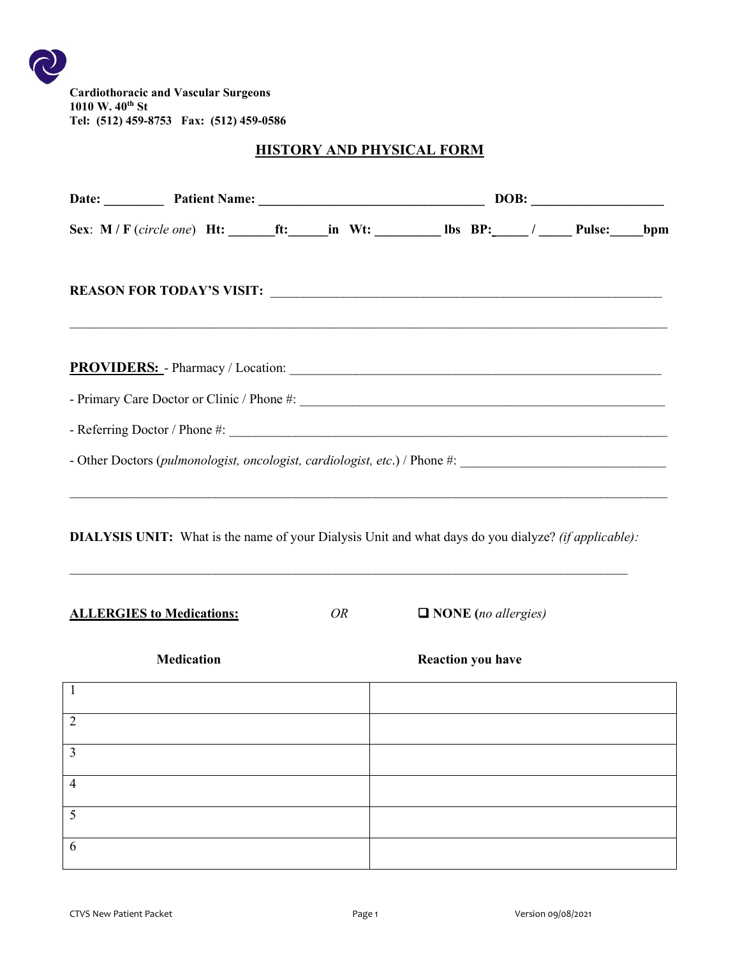**Cardiothoracic and Vascular Surgeons 1010 W. 40th St Tel: (512) 459-8753 Fax: (512) 459-0586**

#### **HISTORY AND PHYSICAL FORM**

|                                  | Date: Patient Name: 2008: 2008:                                                                             |    |                            |  |
|----------------------------------|-------------------------------------------------------------------------------------------------------------|----|----------------------------|--|
|                                  | Sex: M / F (circle one) Ht: ______ft: ______in Wt: __________ lbs BP: _____ / ______ Pulse: _____bpm        |    |                            |  |
|                                  |                                                                                                             |    |                            |  |
|                                  |                                                                                                             |    |                            |  |
|                                  |                                                                                                             |    |                            |  |
|                                  |                                                                                                             |    |                            |  |
|                                  |                                                                                                             |    |                            |  |
| <b>ALLERGIES to Medications:</b> | <b>DIALYSIS UNIT:</b> What is the name of your Dialysis Unit and what days do you dialyze? (if applicable): | OR | $\Box$ NONE (no allergies) |  |
|                                  | <b>Medication</b>                                                                                           |    | <b>Reaction you have</b>   |  |
| $\overline{1}$                   |                                                                                                             |    |                            |  |
| $\overline{2}$                   |                                                                                                             |    |                            |  |
| $\overline{3}$                   |                                                                                                             |    |                            |  |
| $\overline{4}$                   |                                                                                                             |    |                            |  |
| $\overline{5}$                   |                                                                                                             |    |                            |  |
| 6                                |                                                                                                             |    |                            |  |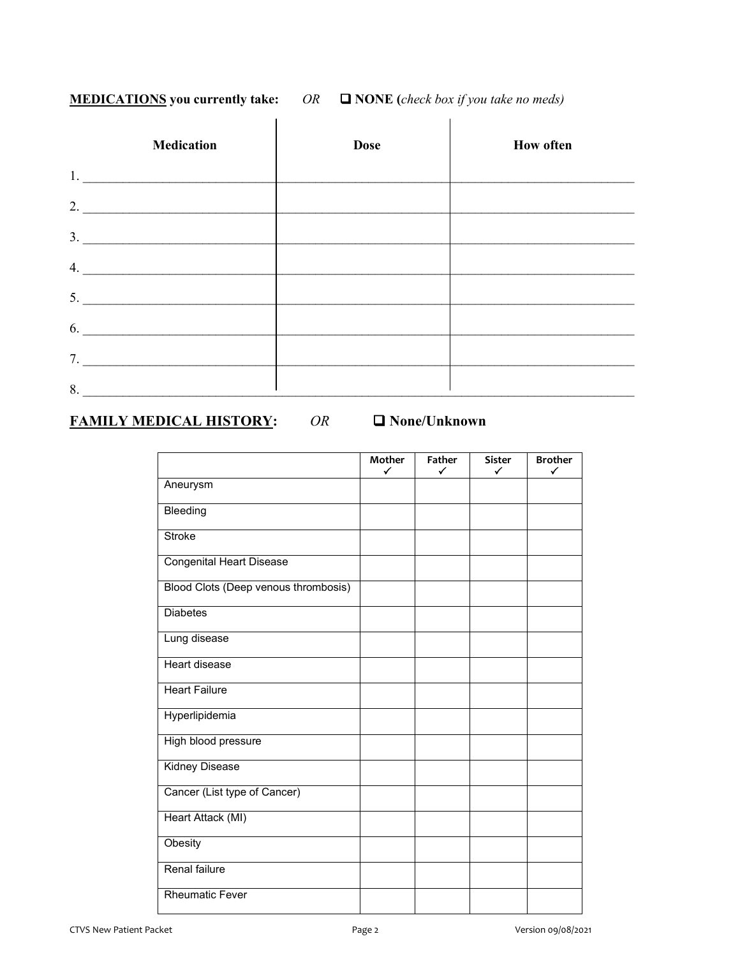#### **MEDICATIONS you currently take:** *OR* **NONE (***check box if you take no meds)*

|    | <b>Medication</b>                                                                                                                                                                                                                    | <b>Dose</b> | <b>How often</b> |
|----|--------------------------------------------------------------------------------------------------------------------------------------------------------------------------------------------------------------------------------------|-------------|------------------|
| 1. | <u> 1980 - John Stein, Amerikaansk politiker (</u>                                                                                                                                                                                   |             |                  |
| 2. | <u> 1980 - Jan Barat, margaret amerikan ba</u>                                                                                                                                                                                       |             |                  |
| 3. |                                                                                                                                                                                                                                      |             |                  |
| 4. | <u> 1980 - Jan Stein Stein Stein Stein Stein Stein Stein Stein Stein Stein Stein Stein Stein Stein Stein Stein Stein Stein Stein Stein Stein Stein Stein Stein Stein Stein Stein Stein Stein Stein Stein Stein Stein Stein Stein</u> |             |                  |
| 5. | <u> 1980 - John Stein, mars and de Britain and de Britain and de Britain and de Britain and de Britain and de Br</u>                                                                                                                 |             |                  |
|    | 6.                                                                                                                                                                                                                                   |             |                  |
| 7. |                                                                                                                                                                                                                                      |             |                  |
| 8. |                                                                                                                                                                                                                                      |             |                  |

#### **FAMILY MEDICAL HISTORY:** *OR*  **None/Unknown**

|                                      | Mother<br>✓ | Father<br>✓ | Sister<br>✓ | <b>Brother</b><br>✓ |
|--------------------------------------|-------------|-------------|-------------|---------------------|
| Aneurysm                             |             |             |             |                     |
| Bleeding                             |             |             |             |                     |
| <b>Stroke</b>                        |             |             |             |                     |
|                                      |             |             |             |                     |
| <b>Congenital Heart Disease</b>      |             |             |             |                     |
| Blood Clots (Deep venous thrombosis) |             |             |             |                     |
| <b>Diabetes</b>                      |             |             |             |                     |
| Lung disease                         |             |             |             |                     |
| <b>Heart disease</b>                 |             |             |             |                     |
| <b>Heart Failure</b>                 |             |             |             |                     |
| Hyperlipidemia                       |             |             |             |                     |
| High blood pressure                  |             |             |             |                     |
| <b>Kidney Disease</b>                |             |             |             |                     |
| Cancer (List type of Cancer)         |             |             |             |                     |
| Heart Attack (MI)                    |             |             |             |                     |
| Obesity                              |             |             |             |                     |
| Renal failure                        |             |             |             |                     |
| <b>Rheumatic Fever</b>               |             |             |             |                     |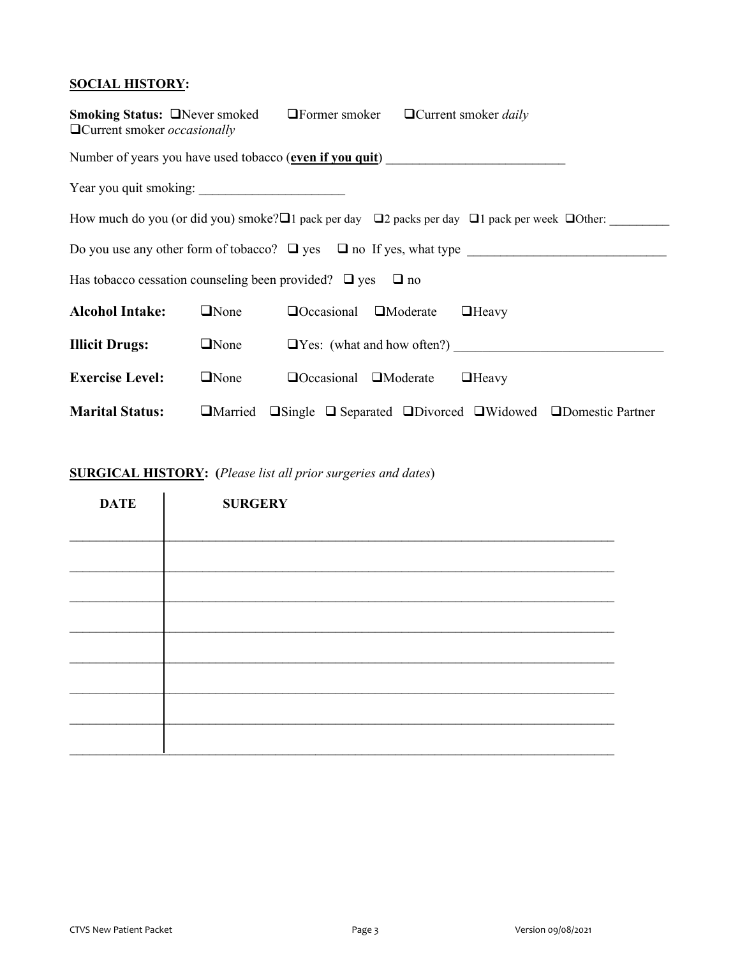#### **SOCIAL HISTORY:**

| <b>Smoking Status: □Never smoked</b><br>$\Box$ Former smoker<br>$\Box$ Current smoker <i>daily</i><br>$\Box$ Current smoker <i>occasionally</i> |             |                                   |  |                                                                                                                                 |  |  |
|-------------------------------------------------------------------------------------------------------------------------------------------------|-------------|-----------------------------------|--|---------------------------------------------------------------------------------------------------------------------------------|--|--|
| Number of years you have used tobacco (even if you quit)                                                                                        |             |                                   |  |                                                                                                                                 |  |  |
|                                                                                                                                                 |             |                                   |  |                                                                                                                                 |  |  |
|                                                                                                                                                 |             |                                   |  | How much do you (or did you) smoke? $\square$ pack per day $\square$ 2 packs per day $\square$ 1 pack per week $\square$ Other: |  |  |
|                                                                                                                                                 |             |                                   |  | Do you use any other form of tobacco? $\Box$ yes $\Box$ no If yes, what type                                                    |  |  |
| Has tobacco cessation counseling been provided? $\Box$ yes $\Box$ no                                                                            |             |                                   |  |                                                                                                                                 |  |  |
| <b>Alcohol Intake:</b>                                                                                                                          | $\Box$ None | $\Box$ Occasional $\Box$ Moderate |  | $\Box$ Heavy                                                                                                                    |  |  |
| <b>Illicit Drugs:</b>                                                                                                                           | $\Box$ None |                                   |  | $\Box$ Yes: (what and how often?)                                                                                               |  |  |
| <b>Exercise Level:</b>                                                                                                                          | $\Box$ None | $\Box$ Occasional $\Box$ Moderate |  | $\Box$ Heavy                                                                                                                    |  |  |
| <b>Marital Status:</b>                                                                                                                          |             |                                   |  | $\Box$ Married $\Box$ Single $\Box$ Separated $\Box$ Divorced $\Box$ Widowed $\Box$ Domestic Partner                            |  |  |

#### **SURGICAL HISTORY: (***Please list all prior surgeries and dates*)

| <b>DATE</b> | <b>SURGERY</b> |
|-------------|----------------|
|             |                |
|             |                |
|             |                |
|             |                |
|             |                |
|             |                |
|             |                |
|             |                |
|             |                |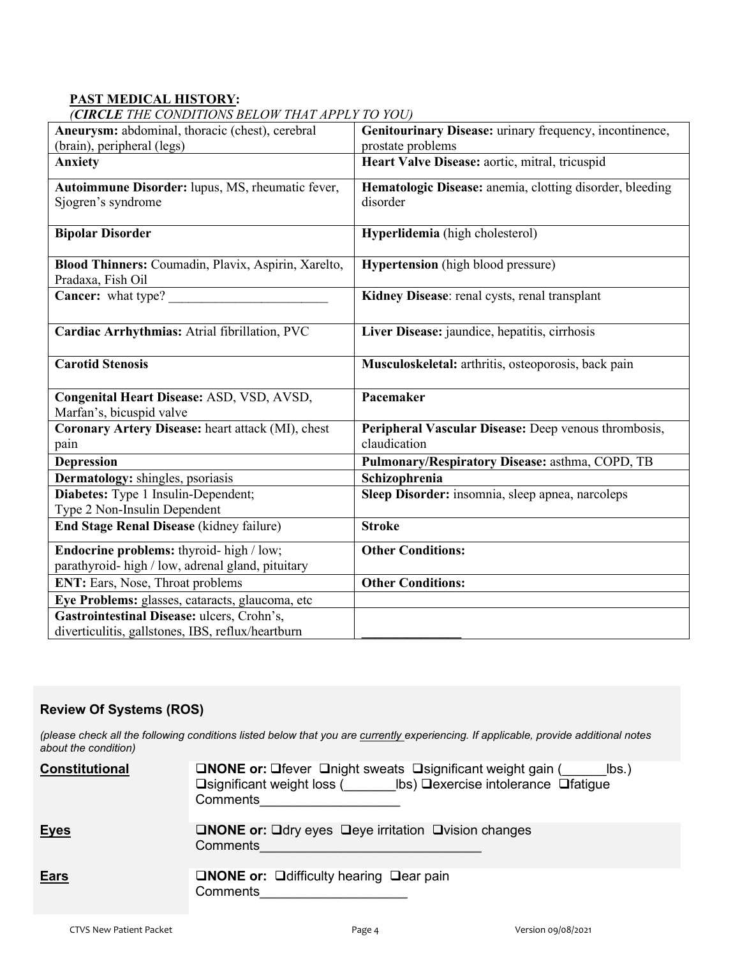#### **PAST MEDICAL HISTORY:**

*(CIRCLE THE CONDITIONS BELOW THAT APPLY TO YOU)*

| $\sum_{i=1}^{n}$<br>Aneurysm: abdominal, thoracic (chest), cerebral                             | Genitourinary Disease: urinary frequency, incontinence,              |
|-------------------------------------------------------------------------------------------------|----------------------------------------------------------------------|
| (brain), peripheral (legs)                                                                      | prostate problems                                                    |
| <b>Anxiety</b>                                                                                  | Heart Valve Disease: aortic, mitral, tricuspid                       |
| Autoimmune Disorder: lupus, MS, rheumatic fever,<br>Sjogren's syndrome                          | Hematologic Disease: anemia, clotting disorder, bleeding<br>disorder |
| <b>Bipolar Disorder</b>                                                                         | Hyperlidemia (high cholesterol)                                      |
| Blood Thinners: Coumadin, Plavix, Aspirin, Xarelto,<br>Pradaxa, Fish Oil                        | <b>Hypertension</b> (high blood pressure)                            |
| Cancer: what type?                                                                              | Kidney Disease: renal cysts, renal transplant                        |
| Cardiac Arrhythmias: Atrial fibrillation, PVC                                                   | Liver Disease: jaundice, hepatitis, cirrhosis                        |
| <b>Carotid Stenosis</b>                                                                         | Musculoskeletal: arthritis, osteoporosis, back pain                  |
| Congenital Heart Disease: ASD, VSD, AVSD,<br>Marfan's, bicuspid valve                           | Pacemaker                                                            |
| Coronary Artery Disease: heart attack (MI), chest<br>pain                                       | Peripheral Vascular Disease: Deep venous thrombosis,<br>claudication |
| <b>Depression</b>                                                                               | Pulmonary/Respiratory Disease: asthma, COPD, TB                      |
| Dermatology: shingles, psoriasis                                                                | Schizophrenia                                                        |
| Diabetes: Type 1 Insulin-Dependent;<br>Type 2 Non-Insulin Dependent                             | Sleep Disorder: insomnia, sleep apnea, narcoleps                     |
| <b>End Stage Renal Disease (kidney failure)</b>                                                 | <b>Stroke</b>                                                        |
| Endocrine problems: thyroid- high / low;<br>parathyroid-high / low, adrenal gland, pituitary    | <b>Other Conditions:</b>                                             |
| ENT: Ears, Nose, Throat problems                                                                | <b>Other Conditions:</b>                                             |
| Eye Problems: glasses, cataracts, glaucoma, etc                                                 |                                                                      |
| Gastrointestinal Disease: ulcers, Crohn's,<br>diverticulitis, gallstones, IBS, reflux/heartburn |                                                                      |

#### **Review Of Systems (ROS)**

*(please check all the following conditions listed below that you are currently experiencing. If applicable, provide additional notes about the condition)*

| <b>Constitutional</b> | <b>□NONE or:</b> □ fever □ night sweats □ significant weight gain (<br>$\mathsf{lbs.}$<br>□significant weight loss ( Ibs) □ exercise intolerance □ fatigue<br>Comments |
|-----------------------|------------------------------------------------------------------------------------------------------------------------------------------------------------------------|
| <b>Eyes</b>           | <b>ONONE or:</b> Odry eyes Deye irritation Ovision changes<br>Comments                                                                                                 |
| <u>Ears</u>           | <b>QNONE or:</b> Quifficulty hearing $\Box$ ear pain<br>Comments                                                                                                       |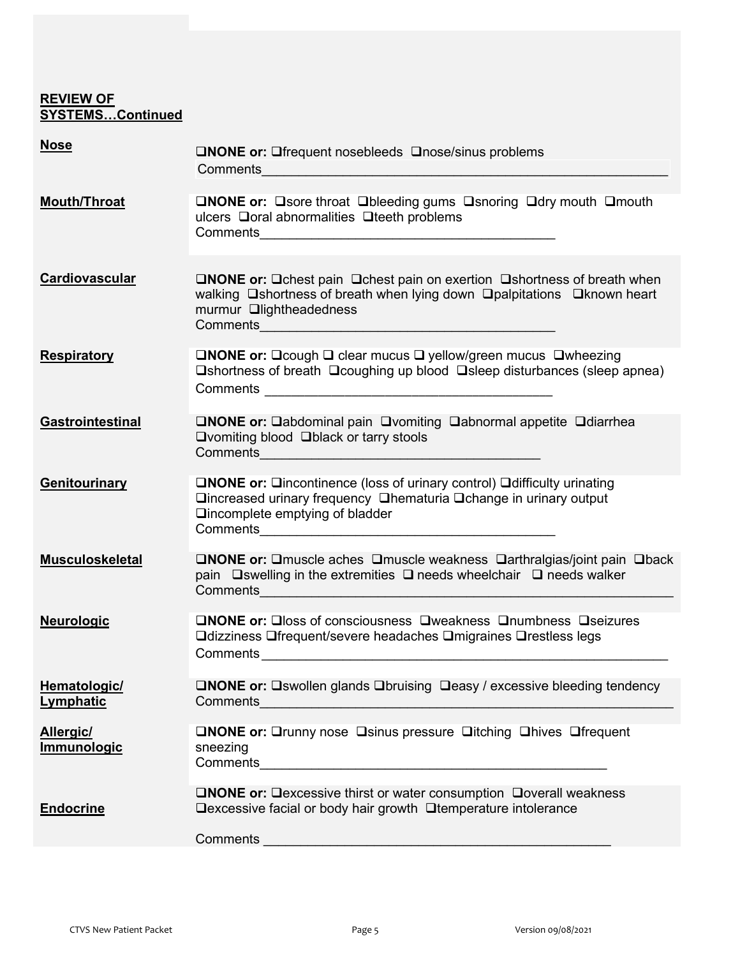#### **REVIEW OF SYSTEMS…Continued**

| <b>Nose</b>                     | <b>ONONE or:</b> Offequent nosebleeds $\Box$ nose/sinus problems<br>Comments <u>experience</u> and the comments of the comments of the comments of the comments of the comments of the comments of the comments of the comments of the comments of the comments of the comments of the comments of the                    |
|---------------------------------|---------------------------------------------------------------------------------------------------------------------------------------------------------------------------------------------------------------------------------------------------------------------------------------------------------------------------|
| <b>Mouth/Throat</b>             | <b>ONONE or:</b> Osore throat Obleeding gums Osnoring Odry mouth Omouth<br>ulcers □ oral abnormalities □ teeth problems                                                                                                                                                                                                   |
| Cardiovascular                  | <b>□NONE or:</b> □ chest pain □ chest pain on exertion □ shortness of breath when<br>walking □ shortness of breath when lying down □ palpitations □ known heart<br>murmur <b>Qlightheadedness</b><br>Comments <b>Comments Comments Comments Comments</b>                                                                  |
| <b>Respiratory</b>              | <b>□NONE or:</b> □cough □ clear mucus □ yellow/green mucus □ wheezing<br>$\square$ shortness of breath $\square$ coughing up blood $\square$ sleep disturbances (sleep apnea)                                                                                                                                             |
| Gastrointestinal                | <b>□NONE or:</b> □abdominal pain □vomiting □abnormal appetite □diarrhea<br>□ vomiting blood □ black or tarry stools                                                                                                                                                                                                       |
| Genitourinary                   | <b>□NONE or:</b> □incontinence (loss of urinary control) □ difficulty urinating<br><b>Qincreased urinary frequency Qhematuria Qchange in urinary output</b><br>□incomplete emptying of bladder<br>Comments 2008 2009 2010 2020 2020 2020 2021 2021 2022 2021 2021 2021 2022 2022 2021 2021 2021 2022 2021 2021 20         |
| <b>Musculoskeletal</b>          | <b>ONONE or:</b> Omuscle aches Omuscle weakness Oarthralgias/joint pain Oback<br>pain $\Box$ swelling in the extremities $\Box$ needs wheelchair $\Box$ needs walker                                                                                                                                                      |
| <b>Neurologic</b>               | <b>ONONE or:</b> Oloss of consciousness Oweakness Onumbness Oseizures<br><b>Qdizziness Qfrequent/severe headaches Qmigraines Qrestless legs</b>                                                                                                                                                                           |
| Hematologic/<br>Lymphatic       | <b>□NONE or:</b> □swollen glands □bruising □easy / excessive bleeding tendency<br>Comments <u>experience</u> and the comments of the comments of the comments of the comments of the comments of the comments of the comments of the comments of the comments of the comments of the comments of the comments of the      |
| <b>Allergic/</b><br>Immunologic | <b>ONONE or:</b> Orunny nose Osinus pressure Oitching Ohives Ofrequent<br>sneezing<br>Comments <u>superior and the comments</u> of the comments of the comments of the comments of the comments of the comments of the comments of the comments of the comments of the comments of the comments of the comments of the co |
| <b>Endocrine</b>                | <b>□NONE or:</b> □ excessive thirst or water consumption □ overall weakness<br>□excessive facial or body hair growth □ temperature intolerance                                                                                                                                                                            |
|                                 | Comments<br><u> 1980 - Johann Barn, mars an t-Amerikaansk politiker (* 1950)</u>                                                                                                                                                                                                                                          |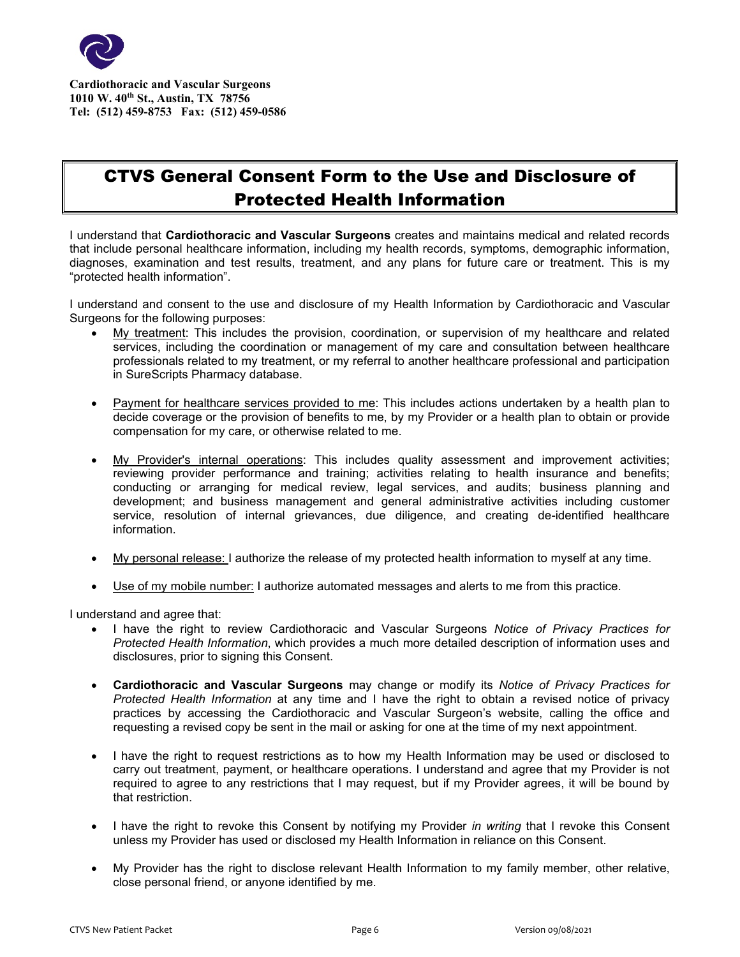

**Cardiothoracic and Vascular Surgeons 1010 W. 40th St., Austin, TX 78756 Tel: (512) 459-8753 Fax: (512) 459-0586**

## CTVS General Consent Form to the Use and Disclosure of Protected Health Information

I understand that **Cardiothoracic and Vascular Surgeons** creates and maintains medical and related records that include personal healthcare information, including my health records, symptoms, demographic information, diagnoses, examination and test results, treatment, and any plans for future care or treatment. This is my "protected health information".

I understand and consent to the use and disclosure of my Health Information by Cardiothoracic and Vascular Surgeons for the following purposes:

- My treatment: This includes the provision, coordination, or supervision of my healthcare and related services, including the coordination or management of my care and consultation between healthcare professionals related to my treatment, or my referral to another healthcare professional and participation in SureScripts Pharmacy database.
- Payment for healthcare services provided to me: This includes actions undertaken by a health plan to decide coverage or the provision of benefits to me, by my Provider or a health plan to obtain or provide compensation for my care, or otherwise related to me.
- My Provider's internal operations: This includes quality assessment and improvement activities; reviewing provider performance and training; activities relating to health insurance and benefits; conducting or arranging for medical review, legal services, and audits; business planning and development; and business management and general administrative activities including customer service, resolution of internal grievances, due diligence, and creating de-identified healthcare information.
- My personal release: I authorize the release of my protected health information to myself at any time.
- Use of my mobile number: I authorize automated messages and alerts to me from this practice.

I understand and agree that:

- I have the right to review Cardiothoracic and Vascular Surgeons *Notice of Privacy Practices for Protected Health Information*, which provides a much more detailed description of information uses and disclosures, prior to signing this Consent.
- **Cardiothoracic and Vascular Surgeons** may change or modify its *Notice of Privacy Practices for Protected Health Information* at any time and I have the right to obtain a revised notice of privacy practices by accessing the Cardiothoracic and Vascular Surgeon's website, calling the office and requesting a revised copy be sent in the mail or asking for one at the time of my next appointment.
- I have the right to request restrictions as to how my Health Information may be used or disclosed to carry out treatment, payment, or healthcare operations. I understand and agree that my Provider is not required to agree to any restrictions that I may request, but if my Provider agrees, it will be bound by that restriction.
- I have the right to revoke this Consent by notifying my Provider *in writing* that I revoke this Consent unless my Provider has used or disclosed my Health Information in reliance on this Consent.
- My Provider has the right to disclose relevant Health Information to my family member, other relative, close personal friend, or anyone identified by me.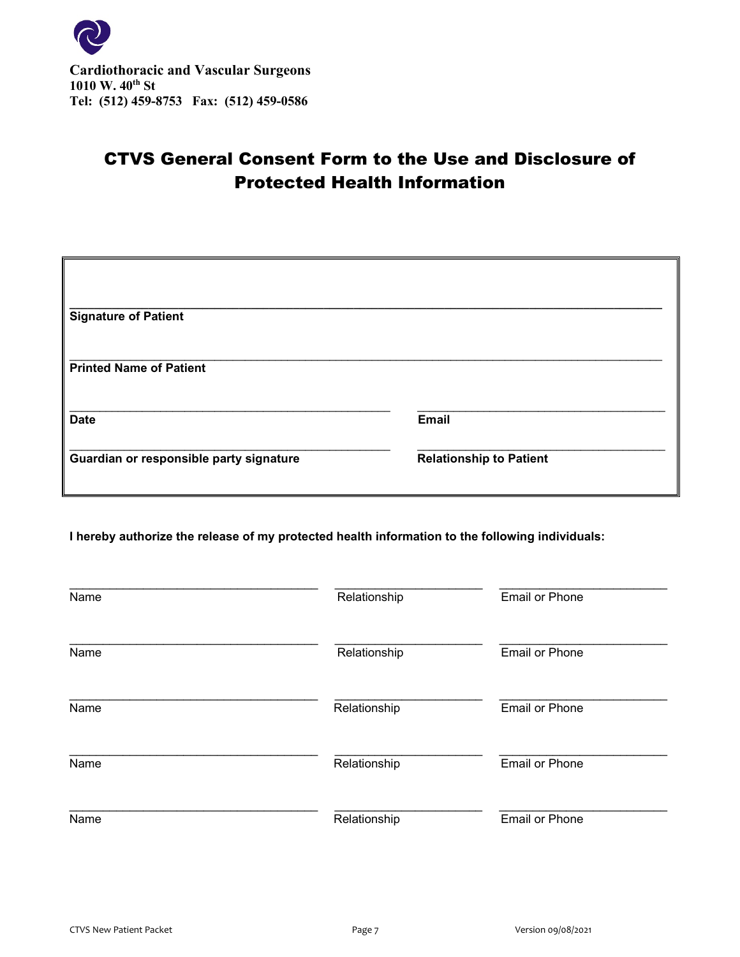

# CTVS General Consent Form to the Use and Disclosure of Protected Health Information

| <b>Signature of Patient</b>             |                                |
|-----------------------------------------|--------------------------------|
| <b>Printed Name of Patient</b>          |                                |
| <b>Date</b>                             | <b>Email</b>                   |
| Guardian or responsible party signature | <b>Relationship to Patient</b> |

**I hereby authorize the release of my protected health information to the following individuals:**

| Name | Relationship | <b>Email or Phone</b> |
|------|--------------|-----------------------|
| Name | Relationship | <b>Email or Phone</b> |
| Name | Relationship | <b>Email or Phone</b> |
| Name | Relationship | <b>Email or Phone</b> |
| Name | Relationship | <b>Email or Phone</b> |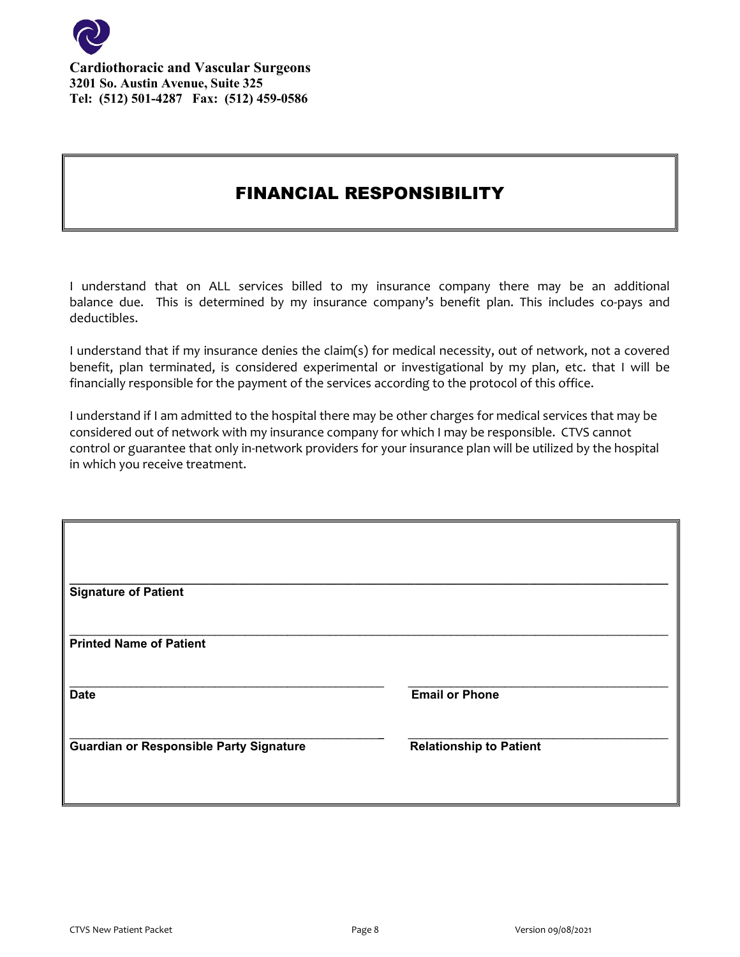

### FINANCIAL RESPONSIBILITY

I understand that on ALL services billed to my insurance company there may be an additional balance due. This is determined by my insurance company's benefit plan. This includes co-pays and deductibles.

I understand that if my insurance denies the claim(s) for medical necessity, out of network, not a covered benefit, plan terminated, is considered experimental or investigational by my plan, etc. that I will be financially responsible for the payment of the services according to the protocol of this office.

I understand if I am admitted to the hospital there may be other charges for medical services that may be considered out of network with my insurance company for which I may be responsible. CTVS cannot control or guarantee that only in-network providers for your insurance plan will be utilized by the hospital in which you receive treatment.

| <b>Signature of Patient</b>                    |                                |
|------------------------------------------------|--------------------------------|
|                                                |                                |
| <b>Printed Name of Patient</b>                 |                                |
| <b>Date</b>                                    | <b>Email or Phone</b>          |
| <b>Guardian or Responsible Party Signature</b> | <b>Relationship to Patient</b> |
|                                                |                                |
|                                                |                                |